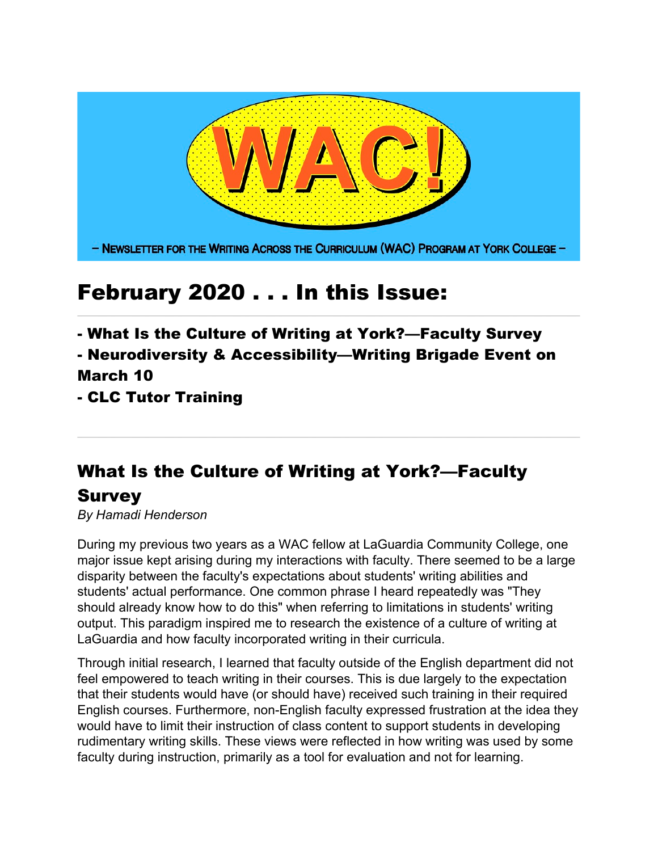

## February 2020 . . . In this Issue:

- What Is the Culture of Writing at York?—Faculty Survey

### - Neurodiversity & Accessibility—Writing Brigade Event on March 10

- CLC Tutor Training

# What Is the Culture of Writing at York?—Faculty

#### Survey

*By Hamadi Henderson*

During my previous two years as a WAC fellow at LaGuardia Community College, one major issue kept arising during my interactions with faculty. There seemed to be a large disparity between the faculty's expectations about students' writing abilities and students' actual performance. One common phrase I heard repeatedly was "They should already know how to do this" when referring to limitations in students' writing output. This paradigm inspired me to research the existence of a culture of writing at LaGuardia and how faculty incorporated writing in their curricula.

Through initial research, I learned that faculty outside of the English department did not feel empowered to teach writing in their courses. This is due largely to the expectation that their students would have (or should have) received such training in their required English courses. Furthermore, non-English faculty expressed frustration at the idea they would have to limit their instruction of class content to support students in developing rudimentary writing skills. These views were reflected in how writing was used by some faculty during instruction, primarily as a tool for evaluation and not for learning.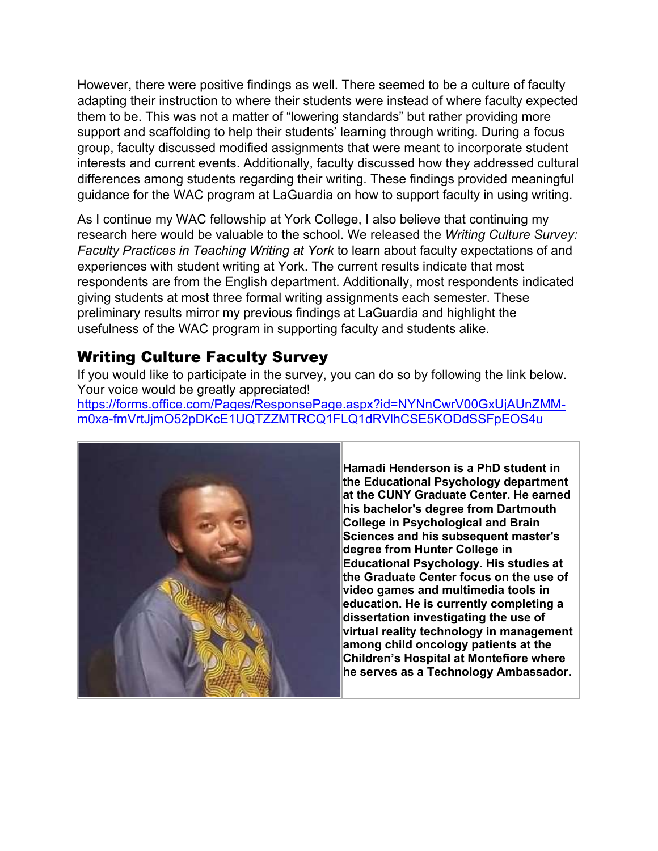However, there were positive findings as well. There seemed to be a culture of faculty adapting their instruction to where their students were instead of where faculty expected them to be. This was not a matter of "lowering standards" but rather providing more support and scaffolding to help their students' learning through writing. During a focus group, faculty discussed modified assignments that were meant to incorporate student interests and current events. Additionally, faculty discussed how they addressed cultural differences among students regarding their writing. These findings provided meaningful guidance for the WAC program at LaGuardia on how to support faculty in using writing.

As I continue my WAC fellowship at York College, I also believe that continuing my research here would be valuable to the school. We released the *Writing Culture Survey: Faculty Practices in Teaching Writing at York* to learn about faculty expectations of and experiences with student writing at York. The current results indicate that most respondents are from the English department. Additionally, most respondents indicated giving students at most three formal writing assignments each semester. These preliminary results mirror my previous findings at LaGuardia and highlight the usefulness of the WAC program in supporting faculty and students alike.

#### Writing Culture Faculty Survey

If you would like to participate in the survey, you can do so by following the link below. Your voice would be greatly appreciated! https://forms.office.com/Pages/ResponsePage.aspx?id=NYNnCwrV00GxUjAUnZMMm0xa-fmVrtJjmO52pDKcE1UQTZZMTRCQ1FLQ1dRVlhCSE5KODdSSFpEOS4u



**Hamadi Henderson is a PhD student in the Educational Psychology department at the CUNY Graduate Center. He earned his bachelor's degree from Dartmouth College in Psychological and Brain Sciences and his subsequent master's degree from Hunter College in Educational Psychology. His studies at the Graduate Center focus on the use of video games and multimedia tools in education. He is currently completing a dissertation investigating the use of virtual reality technology in management among child oncology patients at the Children's Hospital at Montefiore where he serves as a Technology Ambassador.**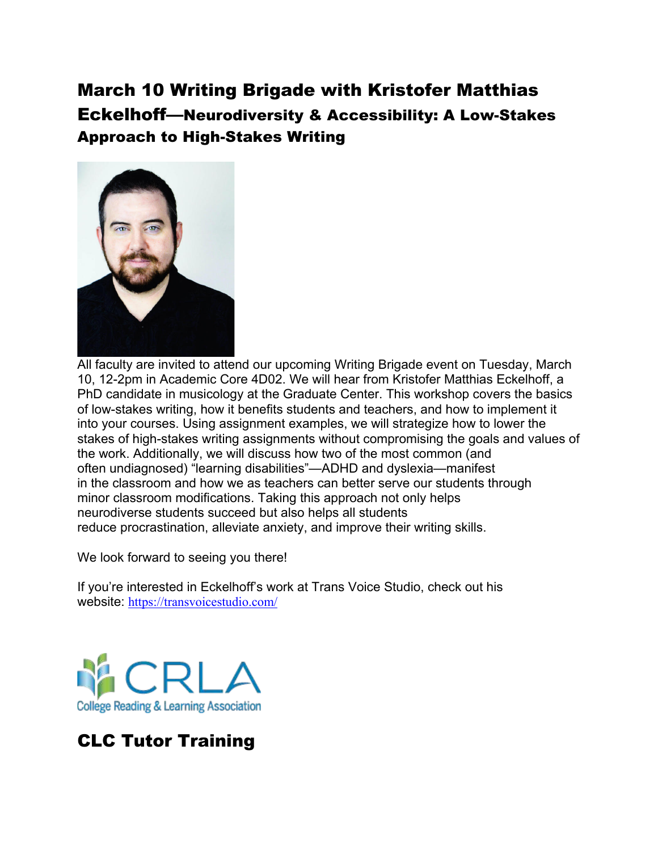## March 10 Writing Brigade with Kristofer Matthias Eckelhoff—Neurodiversity & Accessibility: A Low-Stakes Approach to High-Stakes Writing



All faculty are invited to attend our upcoming Writing Brigade event on Tuesday, March 10, 12-2pm in Academic Core 4D02. We will hear from Kristofer Matthias Eckelhoff, a PhD candidate in musicology at the Graduate Center. This workshop covers the basics of low-stakes writing, how it benefits students and teachers, and how to implement it into your courses. Using assignment examples, we will strategize how to lower the stakes of high-stakes writing assignments without compromising the goals and values of the work. Additionally, we will discuss how two of the most common (and often undiagnosed) "learning disabilities"—ADHD and dyslexia—manifest in the classroom and how we as teachers can better serve our students through minor classroom modifications. Taking this approach not only helps neurodiverse students succeed but also helps all students reduce procrastination, alleviate anxiety, and improve their writing skills.

We look forward to seeing you there!

If you're interested in Eckelhoff's work at Trans Voice Studio, check out his website: https://transvoicestudio.com/



## CLC Tutor Training